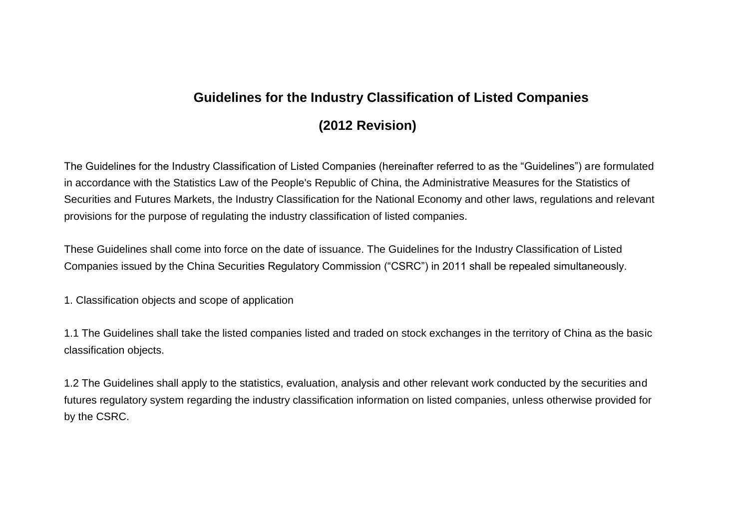## **Guidelines for the Industry Classification of Listed Companies (2012 Revision)**

The Guidelines for the Industry Classification of Listed Companies (hereinafter referred to as the "Guidelines") are formulated in accordance with the Statistics Law of the People's Republic of China, the Administrative Measures for the Statistics of Securities and Futures Markets, the Industry Classification for the National Economy and other laws, regulations and relevant provisions for the purpose of regulating the industry classification of listed companies.

These Guidelines shall come into force on the date of issuance. The Guidelines for the Industry Classification of Listed Companies issued by the China Securities Regulatory Commission ("CSRC") in 2011 shall be repealed simultaneously.

1. Classification objects and scope of application

1.1 The Guidelines shall take the listed companies listed and traded on stock exchanges in the territory of China as the basic classification objects.

1.2 The Guidelines shall apply to the statistics, evaluation, analysis and other relevant work conducted by the securities and futures regulatory system regarding the industry classification information on listed companies, unless otherwise provided for by the CSRC.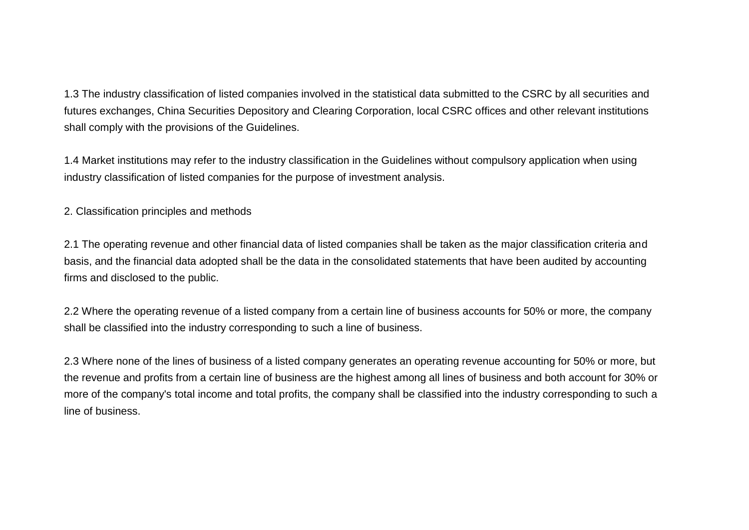1.3 The industry classification of listed companies involved in the statistical data submitted to the CSRC by all securities and futures exchanges, China Securities Depository and Clearing Corporation, local CSRC offices and other relevant institutions shall comply with the provisions of the Guidelines.

1.4 Market institutions may refer to the industry classification in the Guidelines without compulsory application when using industry classification of listed companies for the purpose of investment analysis.

2. Classification principles and methods

2.1 The operating revenue and other financial data of listed companies shall be taken as the major classification criteria and basis, and the financial data adopted shall be the data in the consolidated statements that have been audited by accounting firms and disclosed to the public.

2.2 Where the operating revenue of a listed company from a certain line of business accounts for 50% or more, the company shall be classified into the industry corresponding to such a line of business.

2.3 Where none of the lines of business of a listed company generates an operating revenue accounting for 50% or more, but the revenue and profits from a certain line of business are the highest among all lines of business and both account for 30% or more of the company's total income and total profits, the company shall be classified into the industry corresponding to such a line of business.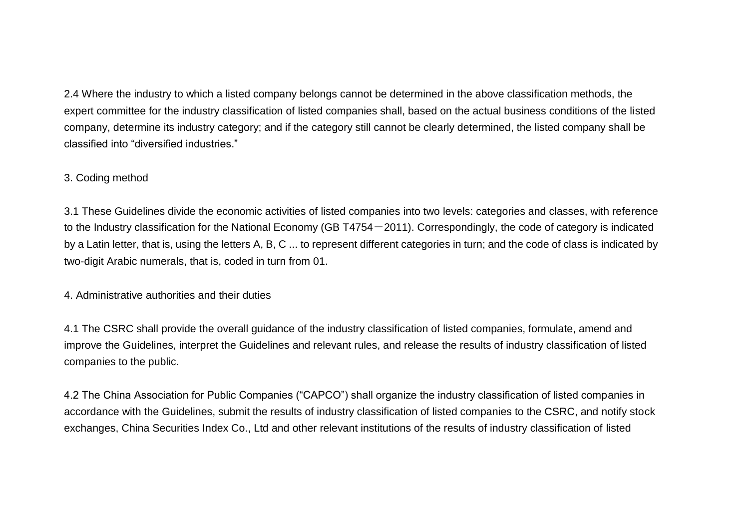2.4 Where the industry to which a listed company belongs cannot be determined in the above classification methods, the expert committee for the industry classification of listed companies shall, based on the actual business conditions of the listed company, determine its industry category; and if the category still cannot be clearly determined, the listed company shall be classified into "diversified industries."

## 3. Coding method

3.1 These Guidelines divide the economic activities of listed companies into two levels: categories and classes, with reference to the Industry classification for the National Economy (GB T4754 $-2011$ ). Correspondingly, the code of category is indicated by a Latin letter, that is, using the letters A, B, C ... to represent different categories in turn; and the code of class is indicated by two-digit Arabic numerals, that is, coded in turn from 01.

## 4. Administrative authorities and their duties

4.1 The CSRC shall provide the overall guidance of the industry classification of listed companies, formulate, amend and improve the Guidelines, interpret the Guidelines and relevant rules, and release the results of industry classification of listed companies to the public.

4.2 The China Association for Public Companies ("CAPCO") shall organize the industry classification of listed companies in accordance with the Guidelines, submit the results of industry classification of listed companies to the CSRC, and notify stock exchanges, China Securities Index Co., Ltd and other relevant institutions of the results of industry classification of listed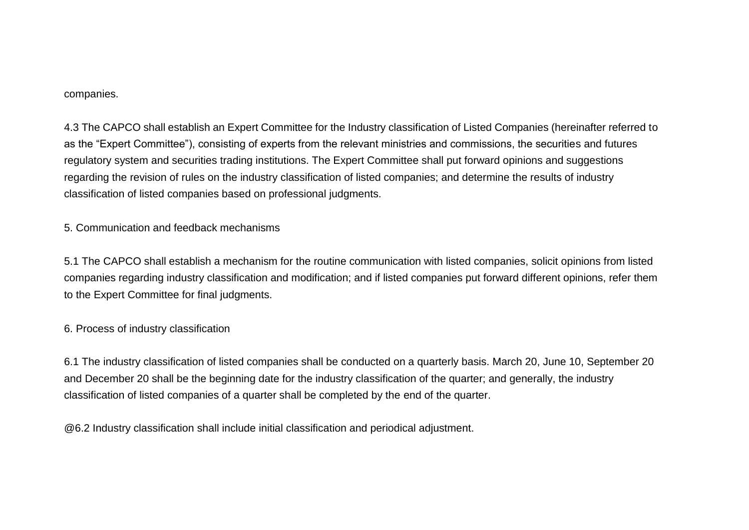## companies.

4.3 The CAPCO shall establish an Expert Committee for the Industry classification of Listed Companies (hereinafter referred to as the "Expert Committee"), consisting of experts from the relevant ministries and commissions, the securities and futures regulatory system and securities trading institutions. The Expert Committee shall put forward opinions and suggestions regarding the revision of rules on the industry classification of listed companies; and determine the results of industry classification of listed companies based on professional judgments.

5. Communication and feedback mechanisms

5.1 The CAPCO shall establish a mechanism for the routine communication with listed companies, solicit opinions from listed companies regarding industry classification and modification; and if listed companies put forward different opinions, refer them to the Expert Committee for final judgments.

6. Process of industry classification

6.1 The industry classification of listed companies shall be conducted on a quarterly basis. March 20, June 10, September 20 and December 20 shall be the beginning date for the industry classification of the quarter; and generally, the industry classification of listed companies of a quarter shall be completed by the end of the quarter.

@6.2 Industry classification shall include initial classification and periodical adjustment.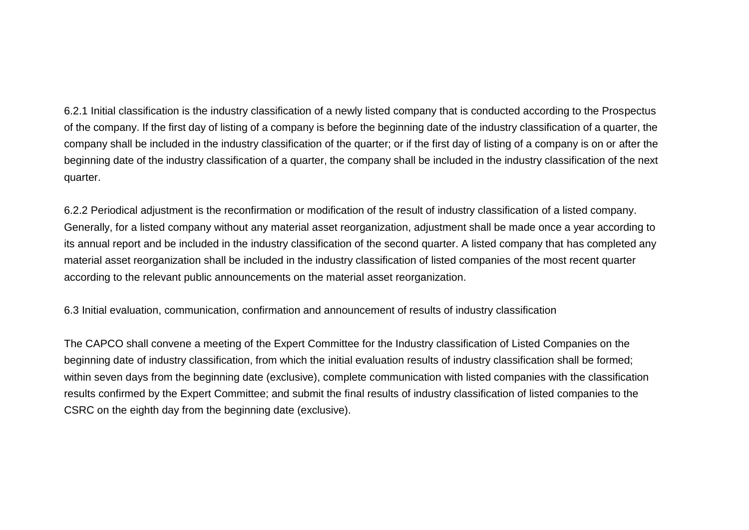6.2.1 Initial classification is the industry classification of a newly listed company that is conducted according to the Prospectus of the company. If the first day of listing of a company is before the beginning date of the industry classification of a quarter, the company shall be included in the industry classification of the quarter; or if the first day of listing of a company is on or after the beginning date of the industry classification of a quarter, the company shall be included in the industry classification of the next quarter.

6.2.2 Periodical adjustment is the reconfirmation or modification of the result of industry classification of a listed company. Generally, for a listed company without any material asset reorganization, adjustment shall be made once a year according to its annual report and be included in the industry classification of the second quarter. A listed company that has completed any material asset reorganization shall be included in the industry classification of listed companies of the most recent quarter according to the relevant public announcements on the material asset reorganization.

6.3 Initial evaluation, communication, confirmation and announcement of results of industry classification

The CAPCO shall convene a meeting of the Expert Committee for the Industry classification of Listed Companies on the beginning date of industry classification, from which the initial evaluation results of industry classification shall be formed; within seven days from the beginning date (exclusive), complete communication with listed companies with the classification results confirmed by the Expert Committee; and submit the final results of industry classification of listed companies to the CSRC on the eighth day from the beginning date (exclusive).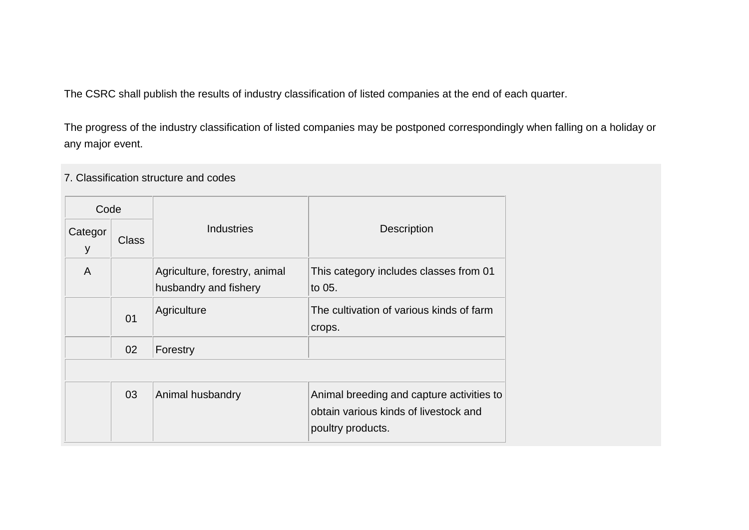The CSRC shall publish the results of industry classification of listed companies at the end of each quarter.

The progress of the industry classification of listed companies may be postponed correspondingly when falling on a holiday or any major event.

7. Classification structure and codes

| Code         |                |                                                        |                                                                                                         |
|--------------|----------------|--------------------------------------------------------|---------------------------------------------------------------------------------------------------------|
| Categor<br>У | Class          | <b>Industries</b>                                      | <b>Description</b>                                                                                      |
| A            |                | Agriculture, forestry, animal<br>husbandry and fishery | This category includes classes from 01<br>to 05.                                                        |
|              | 0 <sub>1</sub> | Agriculture                                            | The cultivation of various kinds of farm<br>crops.                                                      |
|              | 02             | Forestry                                               |                                                                                                         |
|              |                |                                                        |                                                                                                         |
|              | 03             | Animal husbandry                                       | Animal breeding and capture activities to<br>obtain various kinds of livestock and<br>poultry products. |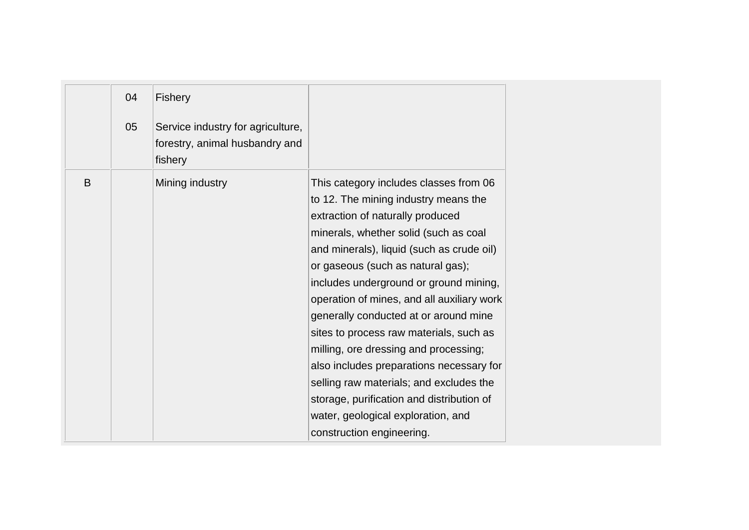|   | 04<br>05 | <b>Fishery</b><br>Service industry for agriculture,<br>forestry, animal husbandry and<br>fishery |                                                                                                                                                                                                                                                                                                                                                                                                                                                                                                                                                                                                                                                                           |
|---|----------|--------------------------------------------------------------------------------------------------|---------------------------------------------------------------------------------------------------------------------------------------------------------------------------------------------------------------------------------------------------------------------------------------------------------------------------------------------------------------------------------------------------------------------------------------------------------------------------------------------------------------------------------------------------------------------------------------------------------------------------------------------------------------------------|
| B |          | Mining industry                                                                                  | This category includes classes from 06<br>to 12. The mining industry means the<br>extraction of naturally produced<br>minerals, whether solid (such as coal<br>and minerals), liquid (such as crude oil)<br>or gaseous (such as natural gas);<br>includes underground or ground mining,<br>operation of mines, and all auxiliary work<br>generally conducted at or around mine<br>sites to process raw materials, such as<br>milling, ore dressing and processing;<br>also includes preparations necessary for<br>selling raw materials; and excludes the<br>storage, purification and distribution of<br>water, geological exploration, and<br>construction engineering. |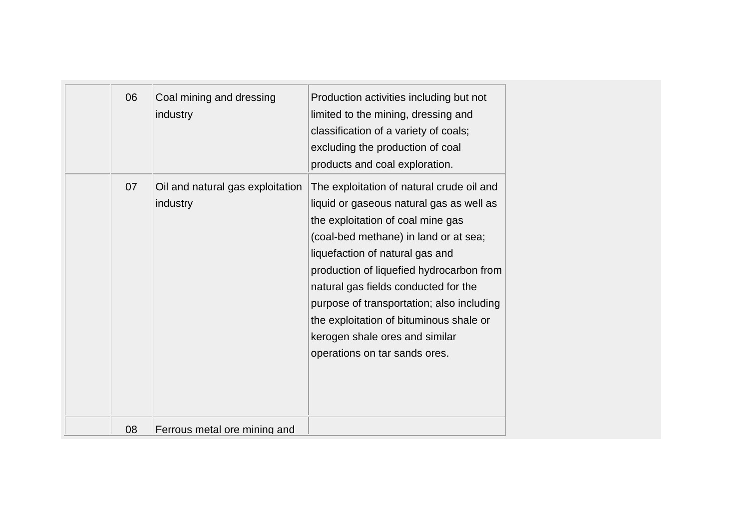| 06 | Coal mining and dressing<br>industry         | Production activities including but not<br>limited to the mining, dressing and<br>classification of a variety of coals;<br>excluding the production of coal<br>products and coal exploration.                                                                                                                                                                                                                                                         |  |
|----|----------------------------------------------|-------------------------------------------------------------------------------------------------------------------------------------------------------------------------------------------------------------------------------------------------------------------------------------------------------------------------------------------------------------------------------------------------------------------------------------------------------|--|
| 07 | Oil and natural gas exploitation<br>industry | The exploitation of natural crude oil and<br>liquid or gaseous natural gas as well as<br>the exploitation of coal mine gas<br>(coal-bed methane) in land or at sea;<br>liquefaction of natural gas and<br>production of liquefied hydrocarbon from<br>natural gas fields conducted for the<br>purpose of transportation; also including<br>the exploitation of bituminous shale or<br>kerogen shale ores and similar<br>operations on tar sands ores. |  |
| 08 | Ferrous metal ore mining and                 |                                                                                                                                                                                                                                                                                                                                                                                                                                                       |  |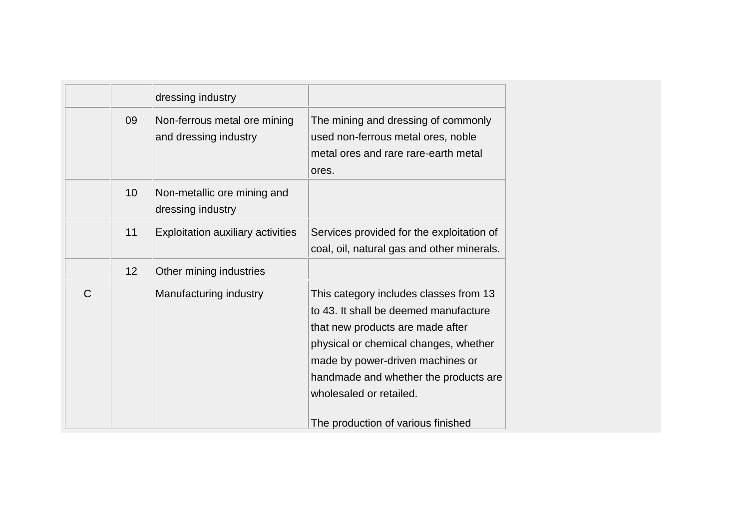|   |    | dressing industry                                     |                                                                                                                                                                                                                                                                      |
|---|----|-------------------------------------------------------|----------------------------------------------------------------------------------------------------------------------------------------------------------------------------------------------------------------------------------------------------------------------|
|   | 09 | Non-ferrous metal ore mining<br>and dressing industry | The mining and dressing of commonly<br>used non-ferrous metal ores, noble<br>metal ores and rare rare-earth metal<br>ores.                                                                                                                                           |
|   | 10 | Non-metallic ore mining and<br>dressing industry      |                                                                                                                                                                                                                                                                      |
|   | 11 | <b>Exploitation auxiliary activities</b>              | Services provided for the exploitation of<br>coal, oil, natural gas and other minerals.                                                                                                                                                                              |
|   | 12 | Other mining industries                               |                                                                                                                                                                                                                                                                      |
| C |    | Manufacturing industry                                | This category includes classes from 13<br>to 43. It shall be deemed manufacture<br>that new products are made after<br>physical or chemical changes, whether<br>made by power-driven machines or<br>handmade and whether the products are<br>wholesaled or retailed. |
|   |    |                                                       | The production of various finished                                                                                                                                                                                                                                   |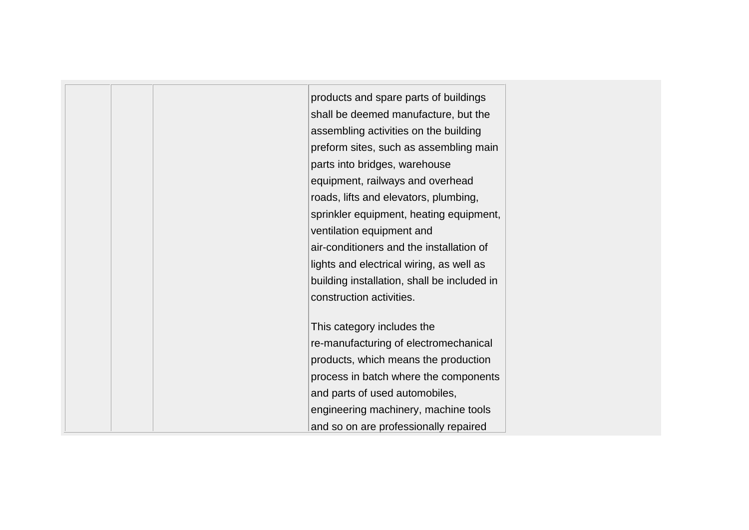| products and spare parts of buildings       |
|---------------------------------------------|
| shall be deemed manufacture, but the        |
| assembling activities on the building       |
| preform sites, such as assembling main      |
| parts into bridges, warehouse               |
| equipment, railways and overhead            |
| roads, lifts and elevators, plumbing,       |
| sprinkler equipment, heating equipment,     |
| ventilation equipment and                   |
| air-conditioners and the installation of    |
| lights and electrical wiring, as well as    |
| building installation, shall be included in |
| construction activities.                    |
|                                             |
| This category includes the                  |
| re-manufacturing of electromechanical       |
| products, which means the production        |
| process in batch where the components       |
| and parts of used automobiles,              |
| engineering machinery, machine tools        |
| and so on are professionally repaired       |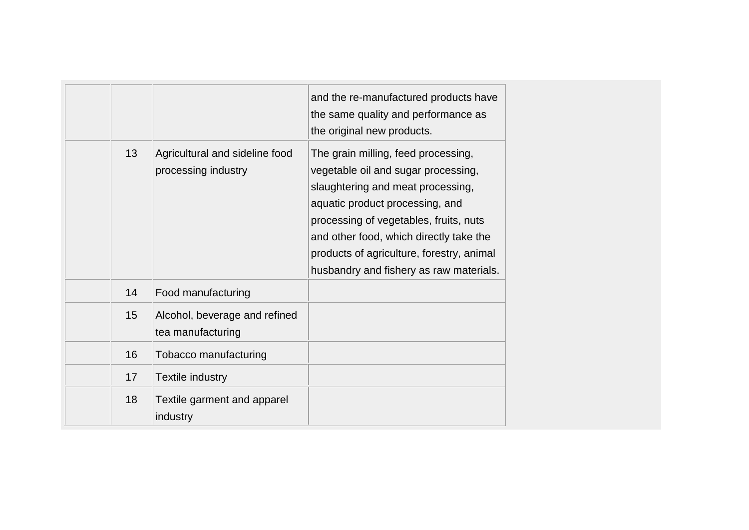|    |                                                       | and the re-manufactured products have<br>the same quality and performance as<br>the original new products.                                                                                                                                                                                                                      |
|----|-------------------------------------------------------|---------------------------------------------------------------------------------------------------------------------------------------------------------------------------------------------------------------------------------------------------------------------------------------------------------------------------------|
| 13 | Agricultural and sideline food<br>processing industry | The grain milling, feed processing,<br>vegetable oil and sugar processing,<br>slaughtering and meat processing,<br>aquatic product processing, and<br>processing of vegetables, fruits, nuts<br>and other food, which directly take the<br>products of agriculture, forestry, animal<br>husbandry and fishery as raw materials. |
| 14 | Food manufacturing                                    |                                                                                                                                                                                                                                                                                                                                 |
| 15 | Alcohol, beverage and refined<br>tea manufacturing    |                                                                                                                                                                                                                                                                                                                                 |
| 16 | Tobacco manufacturing                                 |                                                                                                                                                                                                                                                                                                                                 |
| 17 | Textile industry                                      |                                                                                                                                                                                                                                                                                                                                 |
| 18 | Textile garment and apparel<br>industry               |                                                                                                                                                                                                                                                                                                                                 |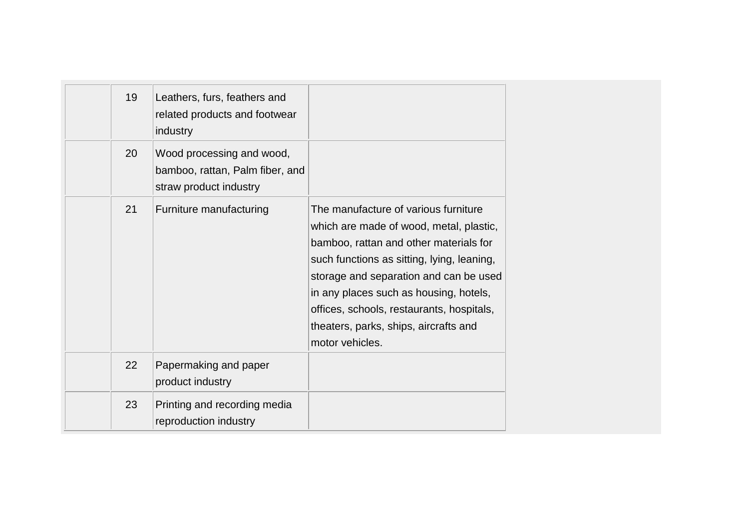| 19 | Leathers, furs, feathers and<br>related products and footwear<br>industry              |                                                                                                                                                                                                                                                                                                                                                                      |
|----|----------------------------------------------------------------------------------------|----------------------------------------------------------------------------------------------------------------------------------------------------------------------------------------------------------------------------------------------------------------------------------------------------------------------------------------------------------------------|
| 20 | Wood processing and wood,<br>bamboo, rattan, Palm fiber, and<br>straw product industry |                                                                                                                                                                                                                                                                                                                                                                      |
| 21 | Furniture manufacturing                                                                | The manufacture of various furniture<br>which are made of wood, metal, plastic,<br>bamboo, rattan and other materials for<br>such functions as sitting, lying, leaning,<br>storage and separation and can be used<br>in any places such as housing, hotels,<br>offices, schools, restaurants, hospitals,<br>theaters, parks, ships, aircrafts and<br>motor vehicles. |
| 22 | Papermaking and paper<br>product industry                                              |                                                                                                                                                                                                                                                                                                                                                                      |
| 23 | Printing and recording media<br>reproduction industry                                  |                                                                                                                                                                                                                                                                                                                                                                      |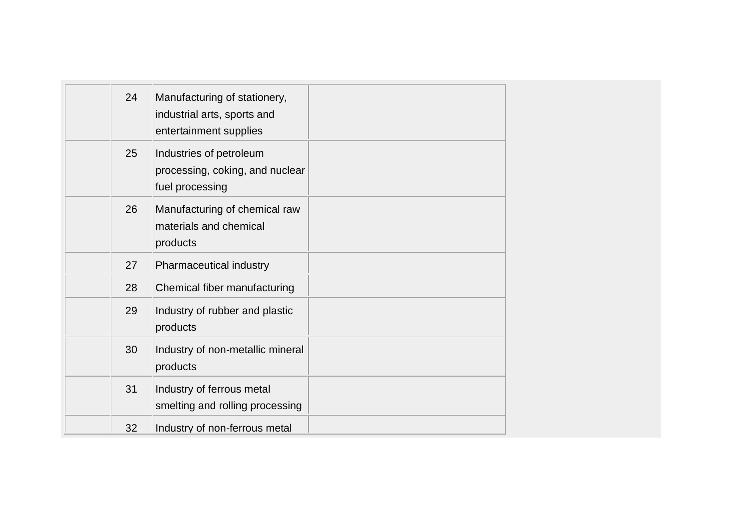| 24 | Manufacturing of stationery,<br>industrial arts, sports and<br>entertainment supplies |  |
|----|---------------------------------------------------------------------------------------|--|
| 25 | Industries of petroleum<br>processing, coking, and nuclear<br>fuel processing         |  |
| 26 | Manufacturing of chemical raw<br>materials and chemical<br>products                   |  |
| 27 | Pharmaceutical industry                                                               |  |
| 28 | Chemical fiber manufacturing                                                          |  |
| 29 | Industry of rubber and plastic<br>products                                            |  |
| 30 | Industry of non-metallic mineral<br>products                                          |  |
| 31 | Industry of ferrous metal<br>smelting and rolling processing                          |  |
| 32 | Industry of non-ferrous metal                                                         |  |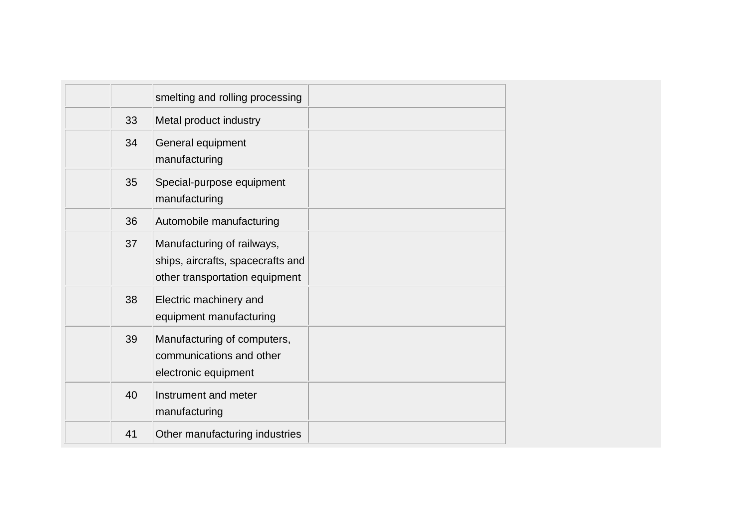|    | smelting and rolling processing                                                                   |  |
|----|---------------------------------------------------------------------------------------------------|--|
| 33 | Metal product industry                                                                            |  |
| 34 | General equipment<br>manufacturing                                                                |  |
| 35 | Special-purpose equipment<br>manufacturing                                                        |  |
| 36 | Automobile manufacturing                                                                          |  |
| 37 | Manufacturing of railways,<br>ships, aircrafts, spacecrafts and<br>other transportation equipment |  |
| 38 | Electric machinery and<br>equipment manufacturing                                                 |  |
| 39 | Manufacturing of computers,<br>communications and other<br>electronic equipment                   |  |
| 40 | Instrument and meter<br>manufacturing                                                             |  |
| 41 | Other manufacturing industries                                                                    |  |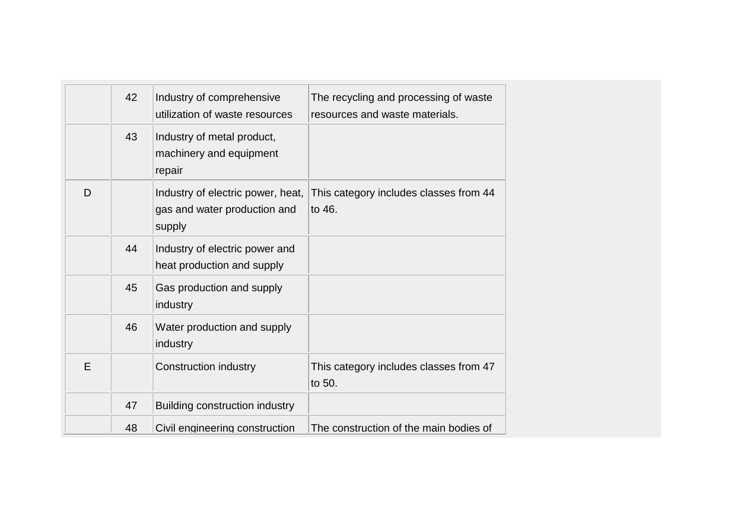|   | 42 | Industry of comprehensive<br>utilization of waste resources                 | The recycling and processing of waste<br>resources and waste materials. |
|---|----|-----------------------------------------------------------------------------|-------------------------------------------------------------------------|
|   | 43 | Industry of metal product,<br>machinery and equipment<br>repair             |                                                                         |
| D |    | Industry of electric power, heat,<br>gas and water production and<br>supply | This category includes classes from 44<br>to 46.                        |
|   | 44 | Industry of electric power and<br>heat production and supply                |                                                                         |
|   | 45 | Gas production and supply<br>industry                                       |                                                                         |
|   | 46 | Water production and supply<br>industry                                     |                                                                         |
| E |    | <b>Construction industry</b>                                                | This category includes classes from 47<br>to 50.                        |
|   | 47 | <b>Building construction industry</b>                                       |                                                                         |
|   | 48 | Civil engineering construction                                              | The construction of the main bodies of                                  |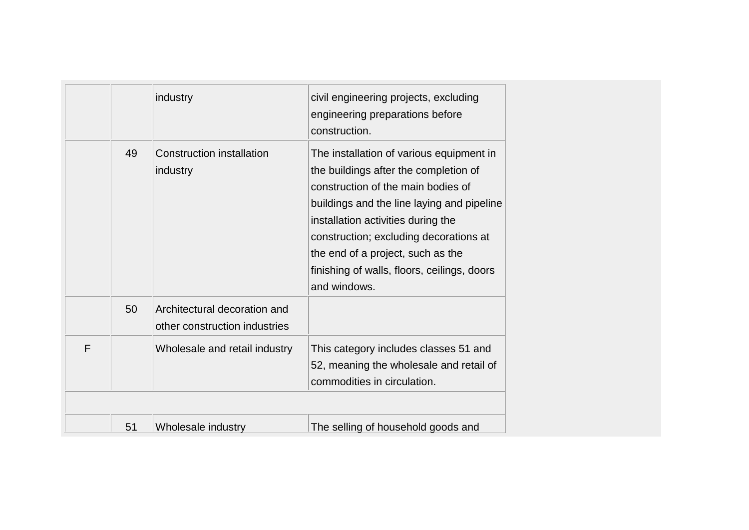|   |    | industry                                                      | civil engineering projects, excluding<br>engineering preparations before<br>construction.                                                                                                                                                                                                                                                                 |
|---|----|---------------------------------------------------------------|-----------------------------------------------------------------------------------------------------------------------------------------------------------------------------------------------------------------------------------------------------------------------------------------------------------------------------------------------------------|
|   | 49 | <b>Construction installation</b><br>industry                  | The installation of various equipment in<br>the buildings after the completion of<br>construction of the main bodies of<br>buildings and the line laying and pipeline<br>installation activities during the<br>construction; excluding decorations at<br>the end of a project, such as the<br>finishing of walls, floors, ceilings, doors<br>and windows. |
|   | 50 | Architectural decoration and<br>other construction industries |                                                                                                                                                                                                                                                                                                                                                           |
| F |    | Wholesale and retail industry                                 | This category includes classes 51 and<br>52, meaning the wholesale and retail of<br>commodities in circulation.                                                                                                                                                                                                                                           |
|   |    |                                                               |                                                                                                                                                                                                                                                                                                                                                           |
|   | 51 | Wholesale industry                                            | The selling of household goods and                                                                                                                                                                                                                                                                                                                        |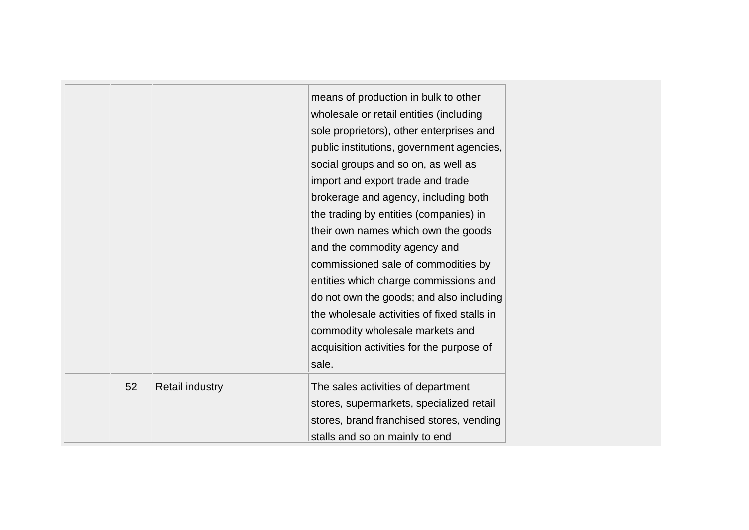|    |                        | means of production in bulk to other<br>wholesale or retail entities (including<br>sole proprietors), other enterprises and<br>public institutions, government agencies,<br>social groups and so on, as well as<br>import and export trade and trade<br>brokerage and agency, including both<br>the trading by entities (companies) in<br>their own names which own the goods<br>and the commodity agency and<br>commissioned sale of commodities by<br>entities which charge commissions and<br>do not own the goods; and also including<br>the wholesale activities of fixed stalls in<br>commodity wholesale markets and<br>acquisition activities for the purpose of<br>sale. |
|----|------------------------|-----------------------------------------------------------------------------------------------------------------------------------------------------------------------------------------------------------------------------------------------------------------------------------------------------------------------------------------------------------------------------------------------------------------------------------------------------------------------------------------------------------------------------------------------------------------------------------------------------------------------------------------------------------------------------------|
| 52 | <b>Retail industry</b> | The sales activities of department<br>stores, supermarkets, specialized retail<br>stores, brand franchised stores, vending<br>stalls and so on mainly to end                                                                                                                                                                                                                                                                                                                                                                                                                                                                                                                      |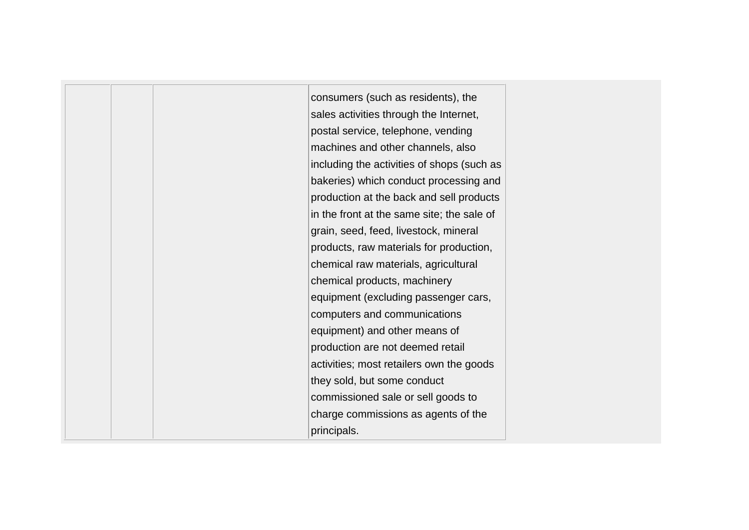consumers (such as residents), the sales activities through the Internet, postal service, telephone, vending machines and other channels, also including the activities of shops (such as bakeries) which conduct processing and production at the back and sell products in the front at the same site; the sale of grain, seed, feed, livestock, mineral products, raw materials for production, chemical raw materials, agricultural chemical products, machinery equipment (excluding passenger cars, computers and communications equipment) and other means of production are not deemed retail activities; most retailers own the goods they sold, but some conduct commissioned sale or sell goods to charge commissions as agents of the principals.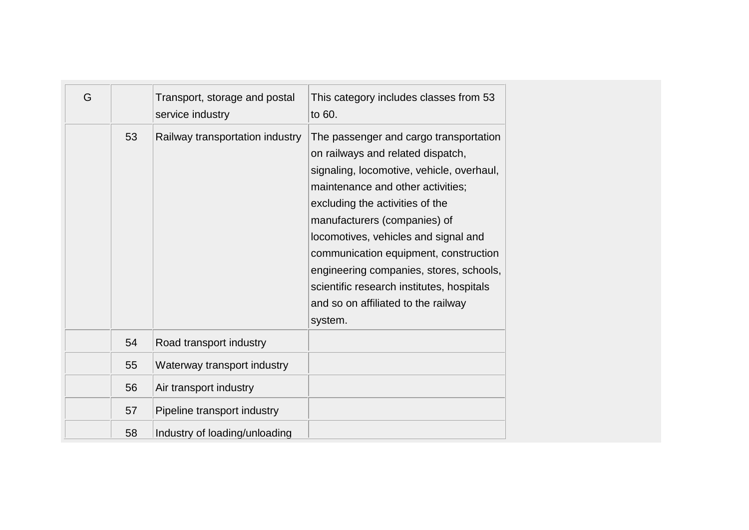| G |    | Transport, storage and postal<br>service industry | This category includes classes from 53<br>to 60.                                                                                                                                                                                                                                                                                                                                                                                                            |
|---|----|---------------------------------------------------|-------------------------------------------------------------------------------------------------------------------------------------------------------------------------------------------------------------------------------------------------------------------------------------------------------------------------------------------------------------------------------------------------------------------------------------------------------------|
|   | 53 | Railway transportation industry                   | The passenger and cargo transportation<br>on railways and related dispatch,<br>signaling, locomotive, vehicle, overhaul,<br>maintenance and other activities;<br>excluding the activities of the<br>manufacturers (companies) of<br>locomotives, vehicles and signal and<br>communication equipment, construction<br>engineering companies, stores, schools,<br>scientific research institutes, hospitals<br>and so on affiliated to the railway<br>system. |
|   | 54 | Road transport industry                           |                                                                                                                                                                                                                                                                                                                                                                                                                                                             |
|   | 55 | Waterway transport industry                       |                                                                                                                                                                                                                                                                                                                                                                                                                                                             |
|   | 56 | Air transport industry                            |                                                                                                                                                                                                                                                                                                                                                                                                                                                             |
|   | 57 | Pipeline transport industry                       |                                                                                                                                                                                                                                                                                                                                                                                                                                                             |
|   | 58 | Industry of loading/unloading                     |                                                                                                                                                                                                                                                                                                                                                                                                                                                             |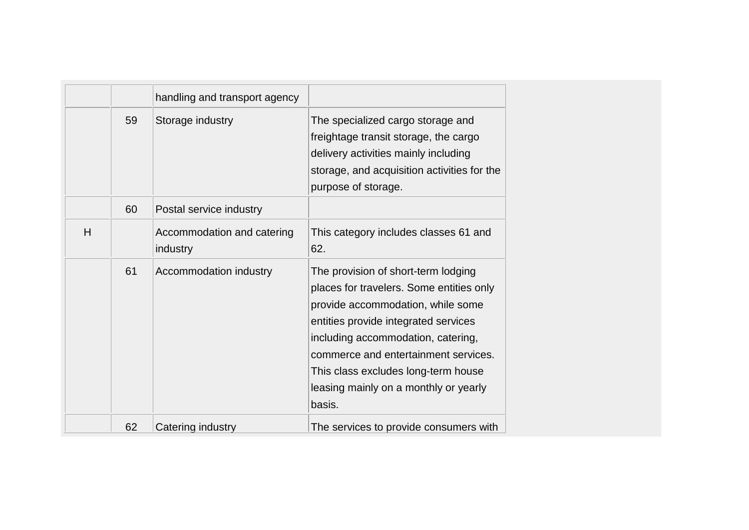|   |    | handling and transport agency          |                                                                                                                                                                                                                                                                                                                                      |
|---|----|----------------------------------------|--------------------------------------------------------------------------------------------------------------------------------------------------------------------------------------------------------------------------------------------------------------------------------------------------------------------------------------|
|   | 59 | Storage industry                       | The specialized cargo storage and<br>freightage transit storage, the cargo<br>delivery activities mainly including<br>storage, and acquisition activities for the<br>purpose of storage.                                                                                                                                             |
|   | 60 | Postal service industry                |                                                                                                                                                                                                                                                                                                                                      |
| H |    | Accommodation and catering<br>industry | This category includes classes 61 and<br>62.                                                                                                                                                                                                                                                                                         |
|   | 61 | Accommodation industry                 | The provision of short-term lodging<br>places for travelers. Some entities only<br>provide accommodation, while some<br>entities provide integrated services<br>including accommodation, catering,<br>commerce and entertainment services.<br>This class excludes long-term house<br>leasing mainly on a monthly or yearly<br>basis. |
|   | 62 | Catering industry                      | The services to provide consumers with                                                                                                                                                                                                                                                                                               |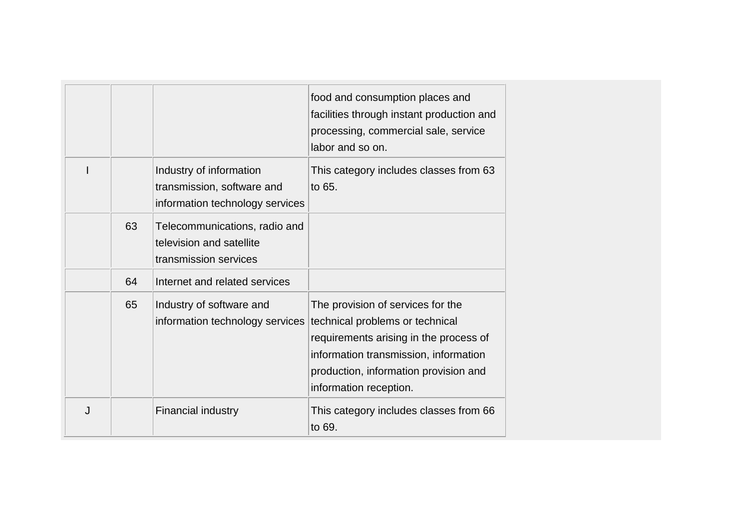|   |    |                                                                                          | food and consumption places and<br>facilities through instant production and<br>processing, commercial sale, service<br>labor and so on.                                                                                   |
|---|----|------------------------------------------------------------------------------------------|----------------------------------------------------------------------------------------------------------------------------------------------------------------------------------------------------------------------------|
|   |    | Industry of information<br>transmission, software and<br>information technology services | This category includes classes from 63<br>to 65.                                                                                                                                                                           |
|   | 63 | Telecommunications, radio and<br>television and satellite<br>transmission services       |                                                                                                                                                                                                                            |
|   | 64 | Internet and related services                                                            |                                                                                                                                                                                                                            |
|   | 65 | Industry of software and<br>information technology services                              | The provision of services for the<br>technical problems or technical<br>requirements arising in the process of<br>information transmission, information<br>production, information provision and<br>information reception. |
| J |    | <b>Financial industry</b>                                                                | This category includes classes from 66<br>to 69.                                                                                                                                                                           |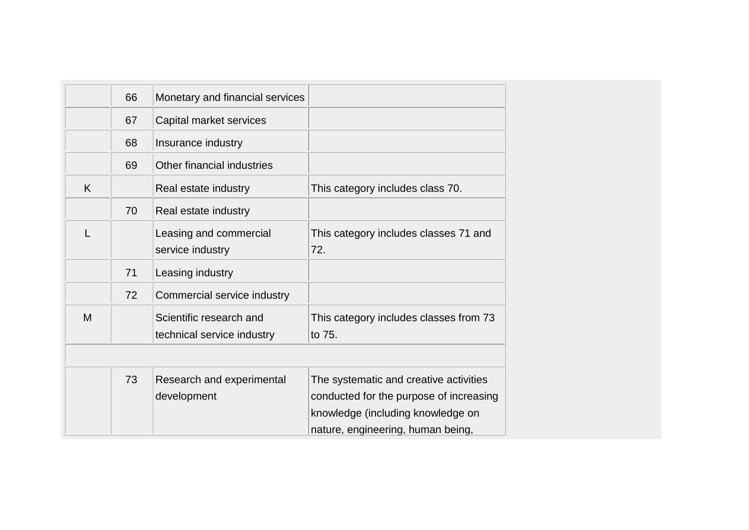|   | 66 | Monetary and financial services                       |                                                                                                                                                             |
|---|----|-------------------------------------------------------|-------------------------------------------------------------------------------------------------------------------------------------------------------------|
|   | 67 | Capital market services                               |                                                                                                                                                             |
|   | 68 | Insurance industry                                    |                                                                                                                                                             |
|   | 69 | Other financial industries                            |                                                                                                                                                             |
| K |    | Real estate industry                                  | This category includes class 70.                                                                                                                            |
|   | 70 | Real estate industry                                  |                                                                                                                                                             |
| L |    | Leasing and commercial<br>service industry            | This category includes classes 71 and<br>72.                                                                                                                |
|   | 71 | Leasing industry                                      |                                                                                                                                                             |
|   | 72 | Commercial service industry                           |                                                                                                                                                             |
| M |    | Scientific research and<br>technical service industry | This category includes classes from 73<br>to 75.                                                                                                            |
|   |    |                                                       |                                                                                                                                                             |
|   | 73 | Research and experimental<br>development              | The systematic and creative activities<br>conducted for the purpose of increasing<br>knowledge (including knowledge on<br>nature, engineering, human being, |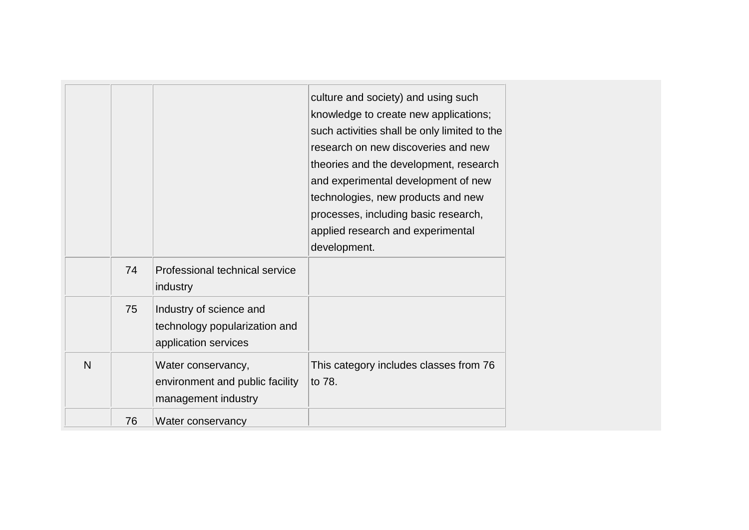|   |    |                                                                                  | culture and society) and using such<br>knowledge to create new applications;<br>such activities shall be only limited to the<br>research on new discoveries and new<br>theories and the development, research<br>and experimental development of new<br>technologies, new products and new<br>processes, including basic research,<br>applied research and experimental<br>development. |
|---|----|----------------------------------------------------------------------------------|-----------------------------------------------------------------------------------------------------------------------------------------------------------------------------------------------------------------------------------------------------------------------------------------------------------------------------------------------------------------------------------------|
|   | 74 | Professional technical service<br>industry                                       |                                                                                                                                                                                                                                                                                                                                                                                         |
|   | 75 | Industry of science and<br>technology popularization and<br>application services |                                                                                                                                                                                                                                                                                                                                                                                         |
| N |    | Water conservancy,<br>environment and public facility<br>management industry     | This category includes classes from 76<br>to 78.                                                                                                                                                                                                                                                                                                                                        |
|   | 76 | Water conservancy                                                                |                                                                                                                                                                                                                                                                                                                                                                                         |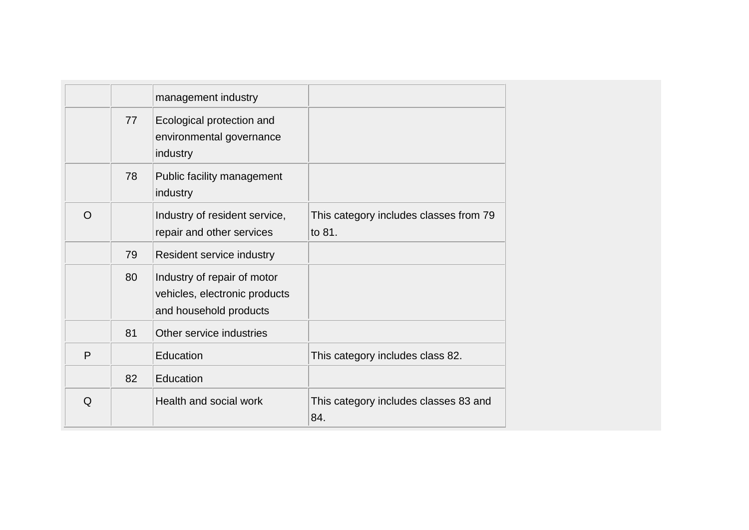|          |    | management industry                                                                    |                                                  |
|----------|----|----------------------------------------------------------------------------------------|--------------------------------------------------|
|          | 77 | Ecological protection and<br>environmental governance<br>industry                      |                                                  |
|          | 78 | Public facility management<br>industry                                                 |                                                  |
| $\Omega$ |    | Industry of resident service,<br>repair and other services                             | This category includes classes from 79<br>to 81. |
|          | 79 | Resident service industry                                                              |                                                  |
|          | 80 | Industry of repair of motor<br>vehicles, electronic products<br>and household products |                                                  |
|          | 81 | Other service industries                                                               |                                                  |
| P        |    | Education                                                                              | This category includes class 82.                 |
|          | 82 | Education                                                                              |                                                  |
| Q        |    | Health and social work                                                                 | This category includes classes 83 and<br>84.     |